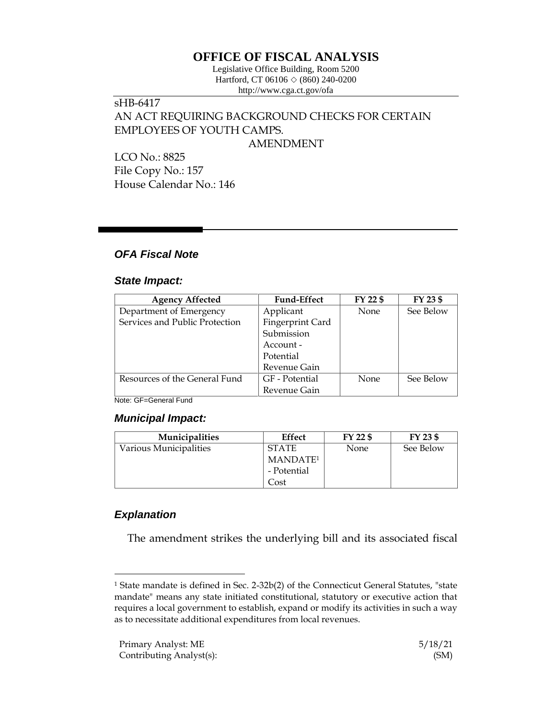# **OFFICE OF FISCAL ANALYSIS**

Legislative Office Building, Room 5200 Hartford, CT 06106  $\Diamond$  (860) 240-0200 http://www.cga.ct.gov/ofa

# sHB-6417 AN ACT REQUIRING BACKGROUND CHECKS FOR CERTAIN EMPLOYEES OF YOUTH CAMPS.

AMENDMENT

LCO No.: 8825 File Copy No.: 157 House Calendar No.: 146

## *OFA Fiscal Note*

### *State Impact:*

| <b>Agency Affected</b>         | <b>Fund-Effect</b> | FY 22 \$    | FY 23 \$  |
|--------------------------------|--------------------|-------------|-----------|
| Department of Emergency        | Applicant          | None        | See Below |
| Services and Public Protection | Fingerprint Card   |             |           |
|                                | Submission         |             |           |
|                                | Account -          |             |           |
|                                | Potential          |             |           |
|                                | Revenue Gain       |             |           |
| Resources of the General Fund  | GF - Potential     | <b>None</b> | See Below |
|                                | Revenue Gain       |             |           |

Note: GF=General Fund

### *Municipal Impact:*

| <b>Municipalities</b>  | Effect               | FY 22 \$    | FY 23 \$  |
|------------------------|----------------------|-------------|-----------|
| Various Municipalities | <b>STATE</b>         | <b>None</b> | See Below |
|                        | MANDATE <sup>1</sup> |             |           |
|                        | - Potential          |             |           |
|                        | .<br>ost             |             |           |

## *Explanation*

 $\overline{a}$ 

The amendment strikes the underlying bill and its associated fiscal

<sup>1</sup> State mandate is defined in Sec. 2-32b(2) of the Connecticut General Statutes, "state mandate" means any state initiated constitutional, statutory or executive action that requires a local government to establish, expand or modify its activities in such a way as to necessitate additional expenditures from local revenues.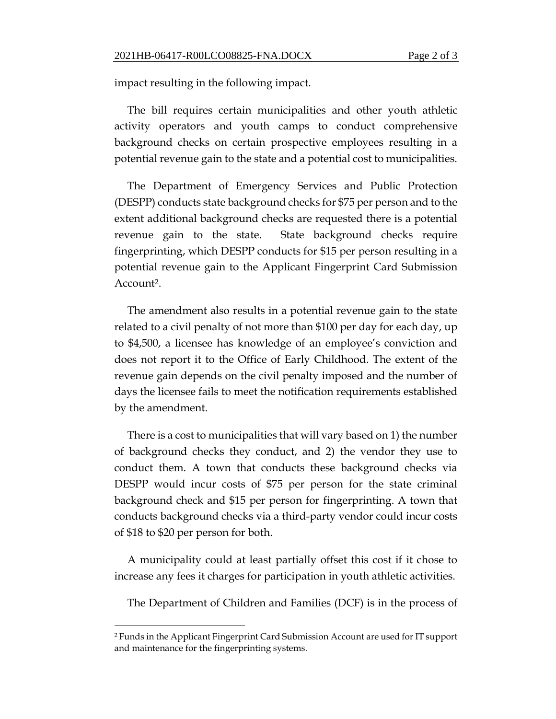impact resulting in the following impact.

The bill requires certain municipalities and other youth athletic activity operators and youth camps to conduct comprehensive background checks on certain prospective employees resulting in a potential revenue gain to the state and a potential cost to municipalities.

The Department of Emergency Services and Public Protection (DESPP) conducts state background checks for \$75 per person and to the extent additional background checks are requested there is a potential revenue gain to the state. State background checks require fingerprinting, which DESPP conducts for \$15 per person resulting in a potential revenue gain to the Applicant Fingerprint Card Submission Account<sup>2</sup>.

The amendment also results in a potential revenue gain to the state related to a civil penalty of not more than \$100 per day for each day, up to \$4,500, a licensee has knowledge of an employee's conviction and does not report it to the Office of Early Childhood. The extent of the revenue gain depends on the civil penalty imposed and the number of days the licensee fails to meet the notification requirements established by the amendment.

There is a cost to municipalities that will vary based on 1) the number of background checks they conduct, and 2) the vendor they use to conduct them. A town that conducts these background checks via DESPP would incur costs of \$75 per person for the state criminal background check and \$15 per person for fingerprinting. A town that conducts background checks via a third-party vendor could incur costs of \$18 to \$20 per person for both.

A municipality could at least partially offset this cost if it chose to increase any fees it charges for participation in youth athletic activities.

The Department of Children and Families (DCF) is in the process of

 $\overline{a}$ 

<sup>2</sup> Funds in the Applicant Fingerprint Card Submission Account are used for IT support and maintenance for the fingerprinting systems.